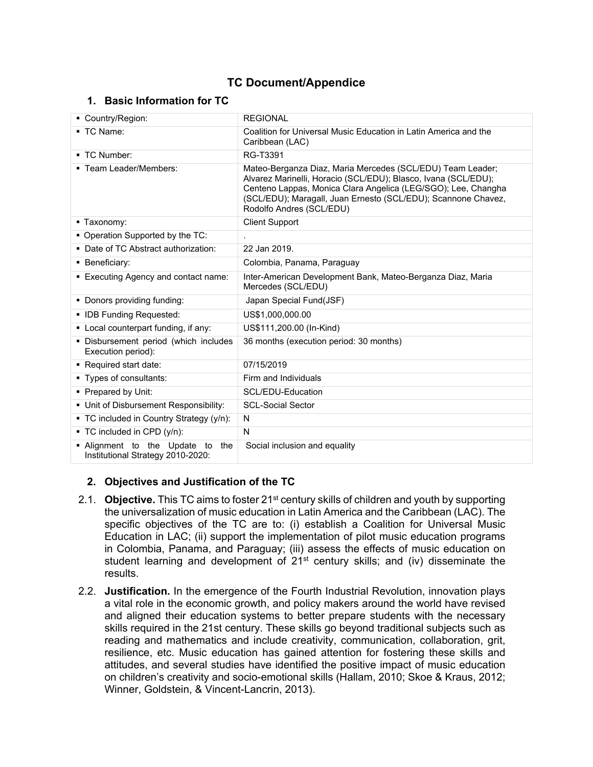# **TC Document/Appendice**

#### **1. Basic Information for TC**

| Country/Region:                                                          | <b>REGIONAL</b>                                                                                                                                                                                                                                                                            |
|--------------------------------------------------------------------------|--------------------------------------------------------------------------------------------------------------------------------------------------------------------------------------------------------------------------------------------------------------------------------------------|
| ■ TC Name:                                                               | Coalition for Universal Music Education in Latin America and the<br>Caribbean (LAC)                                                                                                                                                                                                        |
| ■ TC Number:                                                             | RG-T3391                                                                                                                                                                                                                                                                                   |
| ■ Team Leader/Members:                                                   | Mateo-Berganza Diaz, Maria Mercedes (SCL/EDU) Team Leader;<br>Alvarez Marinelli, Horacio (SCL/EDU); Blasco, Ivana (SCL/EDU);<br>Centeno Lappas, Monica Clara Angelica (LEG/SGO); Lee, Changha<br>(SCL/EDU); Maragall, Juan Ernesto (SCL/EDU); Scannone Chavez,<br>Rodolfo Andres (SCL/EDU) |
| ■ Taxonomy:                                                              | <b>Client Support</b>                                                                                                                                                                                                                                                                      |
| • Operation Supported by the TC:                                         |                                                                                                                                                                                                                                                                                            |
| • Date of TC Abstract authorization:                                     | 22 Jan 2019.                                                                                                                                                                                                                                                                               |
| • Beneficiary:                                                           | Colombia, Panama, Paraguay                                                                                                                                                                                                                                                                 |
| ■ Executing Agency and contact name:                                     | Inter-American Development Bank, Mateo-Berganza Diaz, Maria<br>Mercedes (SCL/EDU)                                                                                                                                                                                                          |
| • Donors providing funding:                                              | Japan Special Fund(JSF)                                                                                                                                                                                                                                                                    |
| • IDB Funding Requested:                                                 | US\$1,000,000.00                                                                                                                                                                                                                                                                           |
| • Local counterpart funding, if any:                                     | US\$111,200.00 (In-Kind)                                                                                                                                                                                                                                                                   |
| . Disbursement period (which includes<br>Execution period):              | 36 months (execution period: 30 months)                                                                                                                                                                                                                                                    |
| Required start date:                                                     | 07/15/2019                                                                                                                                                                                                                                                                                 |
| • Types of consultants:                                                  | Firm and Individuals                                                                                                                                                                                                                                                                       |
| • Prepared by Unit:                                                      | SCL/EDU-Education                                                                                                                                                                                                                                                                          |
| • Unit of Disbursement Responsibility:                                   | <b>SCL-Social Sector</b>                                                                                                                                                                                                                                                                   |
| • TC included in Country Strategy (y/n):                                 | N                                                                                                                                                                                                                                                                                          |
| ■ TC included in CPD (y/n):                                              | N                                                                                                                                                                                                                                                                                          |
| . Alignment to the Update to<br>the<br>Institutional Strategy 2010-2020: | Social inclusion and equality                                                                                                                                                                                                                                                              |

# **2. Objectives and Justification of the TC**

- 2.1. **Objective.** This TC aims to foster 21st century skills of children and youth by supporting the universalization of music education in Latin America and the Caribbean (LAC). The specific objectives of the TC are to: (i) establish a Coalition for Universal Music Education in LAC; (ii) support the implementation of pilot music education programs in Colombia, Panama, and Paraguay; (iii) assess the effects of music education on student learning and development of  $21^{st}$  century skills; and (iv) disseminate the results.
- 2.2. **Justification.** In the emergence of the Fourth Industrial Revolution, innovation plays a vital role in the economic growth, and policy makers around the world have revised and aligned their education systems to better prepare students with the necessary skills required in the 21st century. These skills go beyond traditional subjects such as reading and mathematics and include creativity, communication, collaboration, grit, resilience, etc. Music education has gained attention for fostering these skills and attitudes, and several studies have identified the positive impact of music education on children's creativity and socio-emotional skills (Hallam, 2010; Skoe & Kraus, 2012; Winner, Goldstein, & Vincent-Lancrin, 2013).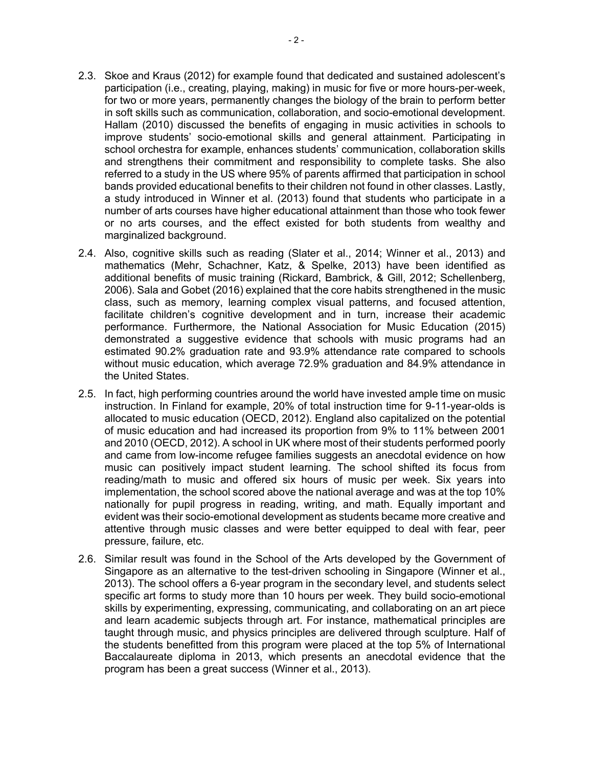- 2.3. Skoe and Kraus (2012) for example found that dedicated and sustained adolescent's participation (i.e., creating, playing, making) in music for five or more hours-per-week, for two or more years, permanently changes the biology of the brain to perform better in soft skills such as communication, collaboration, and socio-emotional development. Hallam (2010) discussed the benefits of engaging in music activities in schools to improve students' socio-emotional skills and general attainment. Participating in school orchestra for example, enhances students' communication, collaboration skills and strengthens their commitment and responsibility to complete tasks. She also referred to a study in the US where 95% of parents affirmed that participation in school bands provided educational benefits to their children not found in other classes. Lastly, a study introduced in Winner et al. (2013) found that students who participate in a number of arts courses have higher educational attainment than those who took fewer or no arts courses, and the effect existed for both students from wealthy and marginalized background.
- 2.4. Also, cognitive skills such as reading (Slater et al., 2014; Winner et al., 2013) and mathematics (Mehr, Schachner, Katz, & Spelke, 2013) have been identified as additional benefits of music training (Rickard, Bambrick, & Gill, 2012; Schellenberg, 2006). Sala and Gobet (2016) explained that the core habits strengthened in the music class, such as memory, learning complex visual patterns, and focused attention, facilitate children's cognitive development and in turn, increase their academic performance. Furthermore, the National Association for Music Education (2015) demonstrated a suggestive evidence that schools with music programs had an estimated 90.2% graduation rate and 93.9% attendance rate compared to schools without music education, which average 72.9% graduation and 84.9% attendance in the United States.
- 2.5. In fact, high performing countries around the world have invested ample time on music instruction. In Finland for example, 20% of total instruction time for 9-11-year-olds is allocated to music education (OECD, 2012). England also capitalized on the potential of music education and had increased its proportion from 9% to 11% between 2001 and 2010 (OECD, 2012). A school in UK where most of their students performed poorly and came from low-income refugee families suggests an anecdotal evidence on how music can positively impact student learning. The school shifted its focus from reading/math to music and offered six hours of music per week. Six years into implementation, the school scored above the national average and was at the top 10% nationally for pupil progress in reading, writing, and math. Equally important and evident was their socio-emotional development as students became more creative and attentive through music classes and were better equipped to deal with fear, peer pressure, failure, etc.
- 2.6. Similar result was found in the School of the Arts developed by the Government of Singapore as an alternative to the test-driven schooling in Singapore (Winner et al., 2013). The school offers a 6-year program in the secondary level, and students select specific art forms to study more than 10 hours per week. They build socio-emotional skills by experimenting, expressing, communicating, and collaborating on an art piece and learn academic subjects through art. For instance, mathematical principles are taught through music, and physics principles are delivered through sculpture. Half of the students benefitted from this program were placed at the top 5% of International Baccalaureate diploma in 2013, which presents an anecdotal evidence that the program has been a great success (Winner et al., 2013).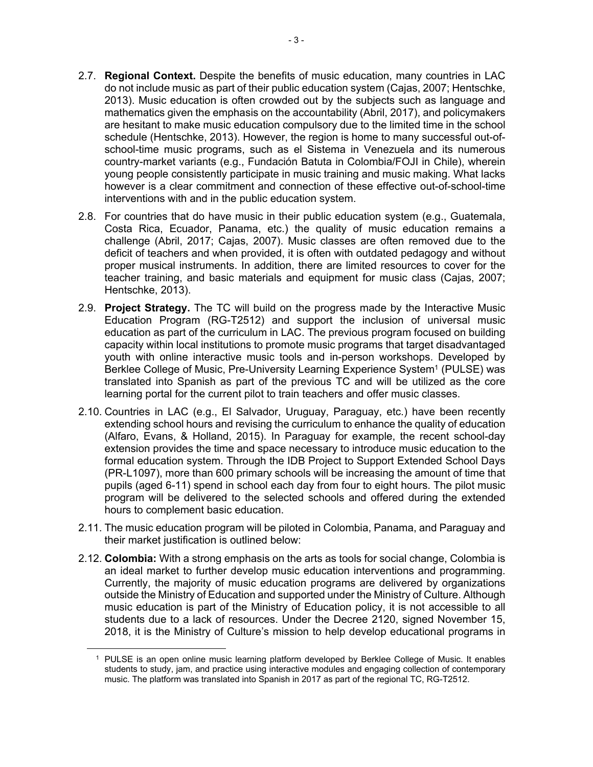- 2.7. **Regional Context.** Despite the benefits of music education, many countries in LAC do not include music as part of their public education system (Cajas, 2007; Hentschke, 2013). Music education is often crowded out by the subjects such as language and mathematics given the emphasis on the accountability (Abril, 2017), and policymakers are hesitant to make music education compulsory due to the limited time in the school schedule (Hentschke, 2013). However, the region is home to many successful out-ofschool-time music programs, such as el Sistema in Venezuela and its numerous country-market variants (e.g., Fundación Batuta in Colombia/FOJI in Chile), wherein young people consistently participate in music training and music making. What lacks however is a clear commitment and connection of these effective out-of-school-time interventions with and in the public education system.
- 2.8. For countries that do have music in their public education system (e.g., Guatemala, Costa Rica, Ecuador, Panama, etc.) the quality of music education remains a challenge (Abril, 2017; Cajas, 2007). Music classes are often removed due to the deficit of teachers and when provided, it is often with outdated pedagogy and without proper musical instruments. In addition, there are limited resources to cover for the teacher training, and basic materials and equipment for music class (Cajas, 2007; Hentschke, 2013).
- 2.9. **Project Strategy.** The TC will build on the progress made by the Interactive Music Education Program (RG-T2512) and support the inclusion of universal music education as part of the curriculum in LAC. The previous program focused on building capacity within local institutions to promote music programs that target disadvantaged youth with online interactive music tools and in-person workshops. Developed by Berklee College of Music, Pre-University Learning Experience System<sup>1</sup> (PULSE) was translated into Spanish as part of the previous TC and will be utilized as the core learning portal for the current pilot to train teachers and offer music classes.
- 2.10. Countries in LAC (e.g., El Salvador, Uruguay, Paraguay, etc.) have been recently extending school hours and revising the curriculum to enhance the quality of education (Alfaro, Evans, & Holland, 2015). In Paraguay for example, the recent school-day extension provides the time and space necessary to introduce music education to the formal education system. Through the IDB Project to Support Extended School Days (PR-L1097), more than 600 primary schools will be increasing the amount of time that pupils (aged 6-11) spend in school each day from four to eight hours. The pilot music program will be delivered to the selected schools and offered during the extended hours to complement basic education.
- 2.11. The music education program will be piloted in Colombia, Panama, and Paraguay and their market justification is outlined below:
- 2.12. **Colombia:** With a strong emphasis on the arts as tools for social change, Colombia is an ideal market to further develop music education interventions and programming. Currently, the majority of music education programs are delivered by organizations outside the Ministry of Education and supported under the Ministry of Culture. Although music education is part of the Ministry of Education policy, it is not accessible to all students due to a lack of resources. Under the Decree 2120, signed November 15, 2018, it is the Ministry of Culture's mission to help develop educational programs in

<sup>1</sup> PULSE is an open online music learning platform developed by Berklee College of Music. It enables students to study, jam, and practice using interactive modules and engaging collection of contemporary music. The platform was translated into Spanish in 2017 as part of the regional TC, RG-T2512.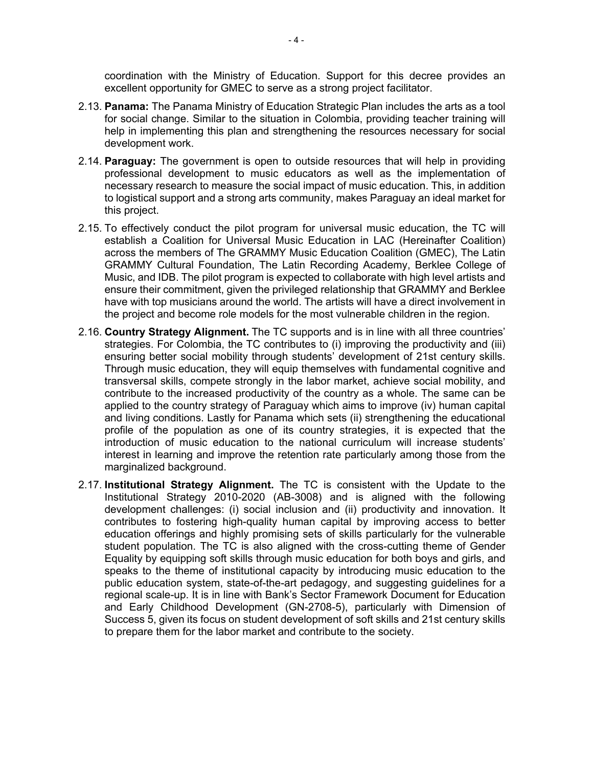coordination with the Ministry of Education. Support for this decree provides an excellent opportunity for GMEC to serve as a strong project facilitator.

- 2.13. **Panama:** The Panama Ministry of Education Strategic Plan includes the arts as a tool for social change. Similar to the situation in Colombia, providing teacher training will help in implementing this plan and strengthening the resources necessary for social development work.
- 2.14. **Paraguay:** The government is open to outside resources that will help in providing professional development to music educators as well as the implementation of necessary research to measure the social impact of music education. This, in addition to logistical support and a strong arts community, makes Paraguay an ideal market for this project.
- 2.15. To effectively conduct the pilot program for universal music education, the TC will establish a Coalition for Universal Music Education in LAC (Hereinafter Coalition) across the members of The GRAMMY Music Education Coalition (GMEC), The Latin GRAMMY Cultural Foundation, The Latin Recording Academy, Berklee College of Music, and IDB. The pilot program is expected to collaborate with high level artists and ensure their commitment, given the privileged relationship that GRAMMY and Berklee have with top musicians around the world. The artists will have a direct involvement in the project and become role models for the most vulnerable children in the region.
- 2.16. **Country Strategy Alignment.** The TC supports and is in line with all three countries' strategies. For Colombia, the TC contributes to (i) improving the productivity and (iii) ensuring better social mobility through students' development of 21st century skills. Through music education, they will equip themselves with fundamental cognitive and transversal skills, compete strongly in the labor market, achieve social mobility, and contribute to the increased productivity of the country as a whole. The same can be applied to the country strategy of Paraguay which aims to improve (iv) human capital and living conditions. Lastly for Panama which sets (ii) strengthening the educational profile of the population as one of its country strategies, it is expected that the introduction of music education to the national curriculum will increase students' interest in learning and improve the retention rate particularly among those from the marginalized background.
- 2.17. **Institutional Strategy Alignment.** The TC is consistent with the Update to the Institutional Strategy 2010-2020 (AB-3008) and is aligned with the following development challenges: (i) social inclusion and (ii) productivity and innovation. It contributes to fostering high-quality human capital by improving access to better education offerings and highly promising sets of skills particularly for the vulnerable student population. The TC is also aligned with the cross-cutting theme of Gender Equality by equipping soft skills through music education for both boys and girls, and speaks to the theme of institutional capacity by introducing music education to the public education system, state-of-the-art pedagogy, and suggesting guidelines for a regional scale-up. It is in line with Bank's Sector Framework Document for Education and Early Childhood Development (GN-2708-5), particularly with Dimension of Success 5, given its focus on student development of soft skills and 21st century skills to prepare them for the labor market and contribute to the society.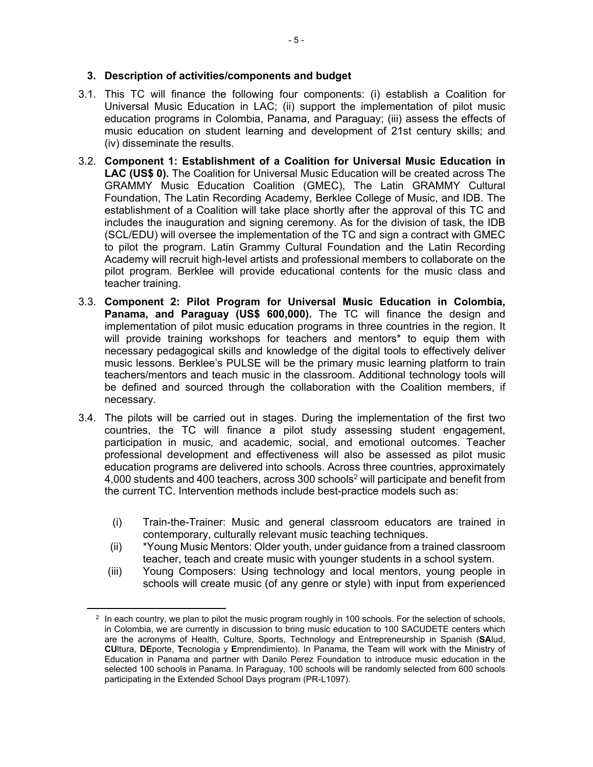#### **3. Description of activities/components and budget**

- 3.1. This TC will finance the following four components: (i) establish a Coalition for Universal Music Education in LAC; (ii) support the implementation of pilot music education programs in Colombia, Panama, and Paraguay; (iii) assess the effects of music education on student learning and development of 21st century skills; and (iv) disseminate the results.
- 3.2. **Component 1: Establishment of a Coalition for Universal Music Education in LAC (US\$ 0).** The Coalition for Universal Music Education will be created across The GRAMMY Music Education Coalition (GMEC), The Latin GRAMMY Cultural Foundation, The Latin Recording Academy, Berklee College of Music, and IDB. The establishment of a Coalition will take place shortly after the approval of this TC and includes the inauguration and signing ceremony. As for the division of task, the IDB (SCL/EDU) will oversee the implementation of the TC and sign a contract with GMEC to pilot the program. Latin Grammy Cultural Foundation and the Latin Recording Academy will recruit high-level artists and professional members to collaborate on the pilot program. Berklee will provide educational contents for the music class and teacher training.
- 3.3. **Component 2: Pilot Program for Universal Music Education in Colombia, Panama, and Paraguay (US\$ 600,000).** The TC will finance the design and implementation of pilot music education programs in three countries in the region. It will provide training workshops for teachers and mentors\* to equip them with necessary pedagogical skills and knowledge of the digital tools to effectively deliver music lessons. Berklee's PULSE will be the primary music learning platform to train teachers/mentors and teach music in the classroom. Additional technology tools will be defined and sourced through the collaboration with the Coalition members, if necessary.
- 3.4. The pilots will be carried out in stages. During the implementation of the first two countries, the TC will finance a pilot study assessing student engagement, participation in music, and academic, social, and emotional outcomes. Teacher professional development and effectiveness will also be assessed as pilot music education programs are delivered into schools. Across three countries, approximately 4,000 students and 400 teachers, across 300 schools<sup>2</sup> will participate and benefit from the current TC. Intervention methods include best-practice models such as:
	- (i) Train-the-Trainer: Music and general classroom educators are trained in contemporary, culturally relevant music teaching techniques.
	- (ii) \*Young Music Mentors: Older youth, under guidance from a trained classroom teacher, teach and create music with younger students in a school system.
	- (iii) Young Composers: Using technology and local mentors, young people in schools will create music (of any genre or style) with input from experienced

 $2$  In each country, we plan to pilot the music program roughly in 100 schools. For the selection of schools, in Colombia, we are currently in discussion to bring music education to 100 SACUDETE centers which are the acronyms of Health, Culture, Sports, Technology and Entrepreneurship in Spanish (**SA**lud, **CU**ltura, **DE**porte, **T**ecnologia y **E**mprendimiento). In Panama, the Team will work with the Ministry of Education in Panama and partner with Danilo Perez Foundation to introduce music education in the selected 100 schools in Panama. In Paraguay, 100 schools will be randomly selected from 600 schools participating in the Extended School Days program (PR-L1097).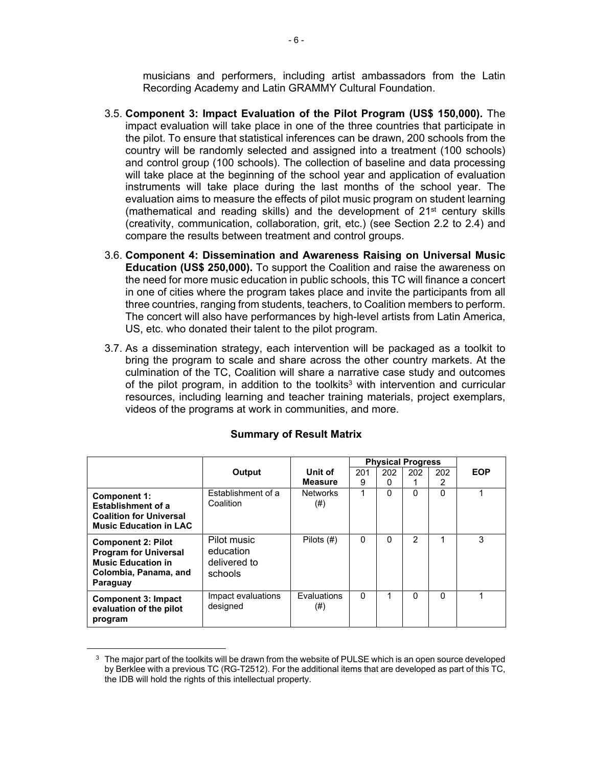musicians and performers, including artist ambassadors from the Latin Recording Academy and Latin GRAMMY Cultural Foundation.

- 3.5. **Component 3: Impact Evaluation of the Pilot Program (US\$ 150,000).** The impact evaluation will take place in one of the three countries that participate in the pilot. To ensure that statistical inferences can be drawn, 200 schools from the country will be randomly selected and assigned into a treatment (100 schools) and control group (100 schools). The collection of baseline and data processing will take place at the beginning of the school year and application of evaluation instruments will take place during the last months of the school year. The evaluation aims to measure the effects of pilot music program on student learning (mathematical and reading skills) and the development of  $21<sup>st</sup>$  century skills (creativity, communication, collaboration, grit, etc.) (see Section 2.2 to 2.4) and compare the results between treatment and control groups.
- 3.6. **Component 4: Dissemination and Awareness Raising on Universal Music Education (US\$ 250,000).** To support the Coalition and raise the awareness on the need for more music education in public schools, this TC will finance a concert in one of cities where the program takes place and invite the participants from all three countries, ranging from students, teachers, to Coalition members to perform. The concert will also have performances by high-level artists from Latin America, US, etc. who donated their talent to the pilot program.
- 3.7. As a dissemination strategy, each intervention will be packaged as a toolkit to bring the program to scale and share across the other country markets. At the culmination of the TC, Coalition will share a narrative case study and outcomes of the pilot program, in addition to the toolkits<sup>3</sup> with intervention and curricular resources, including learning and teacher training materials, project exemplars, videos of the programs at work in communities, and more.

|                                                                                                                             |                                                     |                                | <b>Physical Progress</b> |          |               |          |            |
|-----------------------------------------------------------------------------------------------------------------------------|-----------------------------------------------------|--------------------------------|--------------------------|----------|---------------|----------|------------|
|                                                                                                                             | Output                                              | Unit of                        | 201                      | 202      | 202           | 202      | <b>EOP</b> |
|                                                                                                                             |                                                     | <b>Measure</b>                 | 9                        | 0        |               | 2        |            |
| Component 1:<br><b>Establishment of a</b><br><b>Coalition for Universal</b><br><b>Music Education in LAC</b>                | Establishment of a<br>Coalition                     | <b>Networks</b><br>$^{(#)}$    |                          | $\Omega$ | 0             | $\Omega$ |            |
| <b>Component 2: Pilot</b><br><b>Program for Universal</b><br><b>Music Education in</b><br>Colombia, Panama, and<br>Paraguay | Pilot music<br>education<br>delivered to<br>schools | Pilots $(\#)$                  | 0                        | $\Omega$ | $\mathcal{P}$ | 1        | 3          |
| <b>Component 3: Impact</b><br>evaluation of the pilot<br>program                                                            | Impact evaluations<br>designed                      | <b>Fvaluations</b><br>$^{(#)}$ | 0                        |          | 0             | $\Omega$ |            |

#### **Summary of Result Matrix**

 $^3\,$  The major part of the toolkits will be drawn from the website of PULSE which is an open source developed by Berklee with a previous TC (RG-T2512). For the additional items that are developed as part of this TC, the IDB will hold the rights of this intellectual property.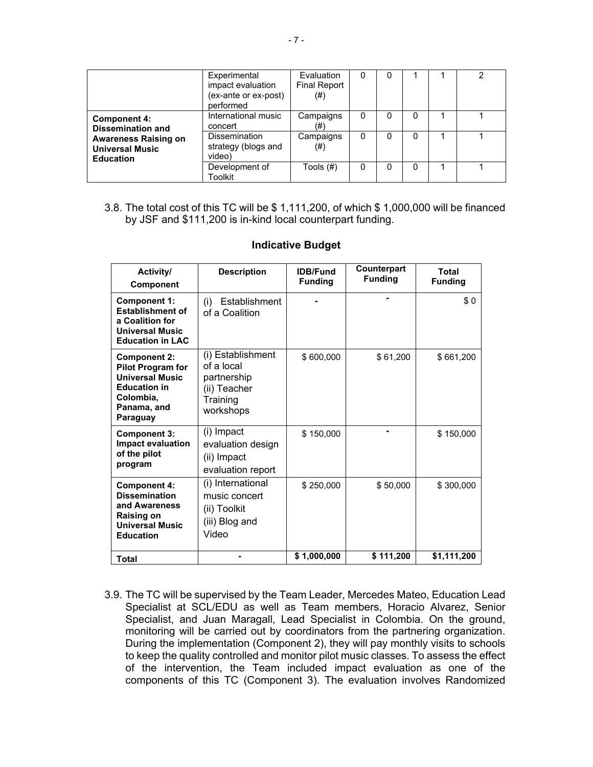|                                                                                                                              | Experimental<br>impact evaluation<br>(ex-ante or ex-post)<br>performed | Evaluation<br><b>Final Report</b><br>$^{(#)}$ | 0 | 0 |   | 2 |
|------------------------------------------------------------------------------------------------------------------------------|------------------------------------------------------------------------|-----------------------------------------------|---|---|---|---|
| <b>Component 4:</b><br><b>Dissemination and</b><br><b>Awareness Raising on</b><br><b>Universal Music</b><br><b>Education</b> | International music<br>concert                                         | Campaigns<br>(#)                              | 0 | 0 | 0 |   |
|                                                                                                                              | <b>Dissemination</b><br>strategy (blogs and<br>video)                  | Campaigns<br>$^{(#)}$                         | 0 | 0 | 0 |   |
|                                                                                                                              | Development of<br>Toolkit                                              | Tools $(\#)$                                  |   | 0 |   |   |

3.8. The total cost of this TC will be \$ 1,111,200, of which \$ 1,000,000 will be financed by JSF and \$111,200 is in-kind local counterpart funding.

| Activity/<br><b>Component</b>                                                                                                            | <b>Description</b>                                                                      | <b>IDB/Fund</b><br><b>Funding</b> | Counterpart<br><b>Funding</b> | Total<br><b>Funding</b> |
|------------------------------------------------------------------------------------------------------------------------------------------|-----------------------------------------------------------------------------------------|-----------------------------------|-------------------------------|-------------------------|
| <b>Component 1:</b><br><b>Establishment of</b><br>a Coalition for<br><b>Universal Music</b><br><b>Education in LAC</b>                   | Establishment<br>(i)<br>of a Coalition                                                  |                                   |                               | \$0                     |
| <b>Component 2:</b><br><b>Pilot Program for</b><br><b>Universal Music</b><br><b>Education in</b><br>Colombia,<br>Panama, and<br>Paraguay | (i) Establishment<br>of a local<br>partnership<br>(ii) Teacher<br>Training<br>workshops | \$600,000                         | \$61,200                      | \$661,200               |
| <b>Component 3:</b><br><b>Impact evaluation</b><br>of the pilot<br>program                                                               | (i) Impact<br>evaluation design<br>(ii) Impact<br>evaluation report                     | \$150,000                         |                               | \$150,000               |
| <b>Component 4:</b><br><b>Dissemination</b><br>and Awareness<br><b>Raising on</b><br><b>Universal Music</b><br><b>Education</b>          | (i) International<br>music concert<br>(ii) Toolkit<br>(iii) Blog and<br>Video           | \$250.000                         | \$50,000                      | \$300,000               |
| Total                                                                                                                                    |                                                                                         | \$1,000,000                       | \$111,200                     | \$1,111,200             |

#### **Indicative Budget**

3.9. The TC will be supervised by the Team Leader, Mercedes Mateo, Education Lead Specialist at SCL/EDU as well as Team members, Horacio Alvarez, Senior Specialist, and Juan Maragall, Lead Specialist in Colombia. On the ground, monitoring will be carried out by coordinators from the partnering organization. During the implementation (Component 2), they will pay monthly visits to schools to keep the quality controlled and monitor pilot music classes. To assess the effect of the intervention, the Team included impact evaluation as one of the components of this TC (Component 3). The evaluation involves Randomized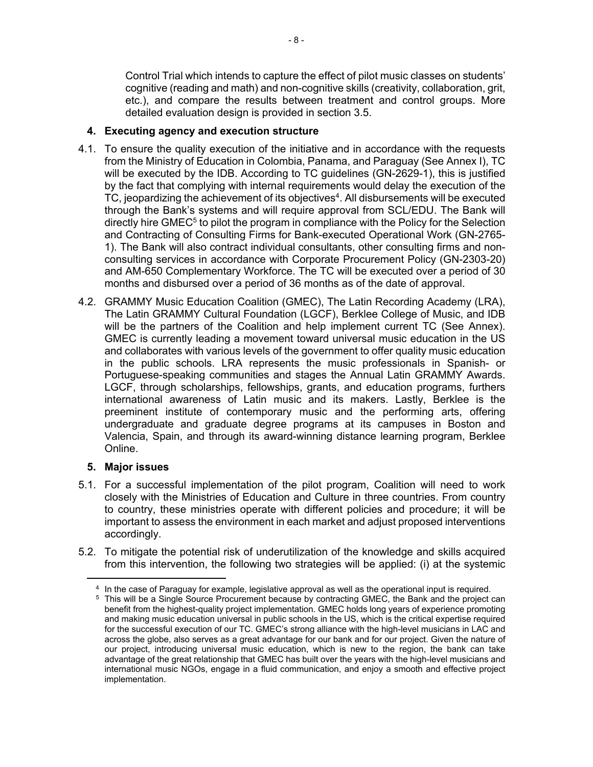Control Trial which intends to capture the effect of pilot music classes on students' cognitive (reading and math) and non-cognitive skills (creativity, collaboration, grit, etc.), and compare the results between treatment and control groups. More detailed evaluation design is provided in section 3.5.

### **4. Executing agency and execution structure**

- 4.1. To ensure the quality execution of the initiative and in accordance with the requests from the Ministry of Education in Colombia, Panama, and Paraguay (See Annex I), TC will be executed by the IDB. According to TC guidelines (GN-2629-1), this is justified by the fact that complying with internal requirements would delay the execution of the TC, jeopardizing the achievement of its objectives<sup>4</sup>. All disbursements will be executed through the Bank's systems and will require approval from SCL/EDU. The Bank will directly hire GMEC<sup>5</sup> to pilot the program in compliance with the Policy for the Selection and Contracting of Consulting Firms for Bank-executed Operational Work (GN-2765- 1). The Bank will also contract individual consultants, other consulting firms and nonconsulting services in accordance with Corporate Procurement Policy (GN-2303-20) and AM-650 Complementary Workforce. The TC will be executed over a period of 30 months and disbursed over a period of 36 months as of the date of approval.
- 4.2. GRAMMY Music Education Coalition (GMEC), The Latin Recording Academy (LRA), The Latin GRAMMY Cultural Foundation (LGCF), Berklee College of Music, and IDB will be the partners of the Coalition and help implement current TC (See Annex). GMEC is currently leading a movement toward universal music education in the US and collaborates with various levels of the government to offer quality music education in the public schools. LRA represents the music professionals in Spanish- or Portuguese-speaking communities and stages the Annual Latin GRAMMY Awards. LGCF, through scholarships, fellowships, grants, and education programs, furthers international awareness of Latin music and its makers. Lastly, Berklee is the preeminent institute of contemporary music and the performing arts, offering undergraduate and graduate degree programs at its campuses in Boston and Valencia, Spain, and through its award-winning distance learning program, Berklee Online.

# **5. Major issues**

- 5.1. For a successful implementation of the pilot program, Coalition will need to work closely with the Ministries of Education and Culture in three countries. From country to country, these ministries operate with different policies and procedure; it will be important to assess the environment in each market and adjust proposed interventions accordingly.
- 5.2. To mitigate the potential risk of underutilization of the knowledge and skills acquired from this intervention, the following two strategies will be applied: (i) at the systemic

<sup>4</sup> In the case of Paraguay for example, legislative approval as well as the operational input is required.

<sup>5</sup> This will be a Single Source Procurement because by contracting GMEC, the Bank and the project can benefit from the highest-quality project implementation. GMEC holds long years of experience promoting and making music education universal in public schools in the US, which is the critical expertise required for the successful execution of our TC. GMEC's strong alliance with the high-level musicians in LAC and across the globe, also serves as a great advantage for our bank and for our project. Given the nature of our project, introducing universal music education, which is new to the region, the bank can take advantage of the great relationship that GMEC has built over the years with the high-level musicians and international music NGOs, engage in a fluid communication, and enjoy a smooth and effective project implementation.